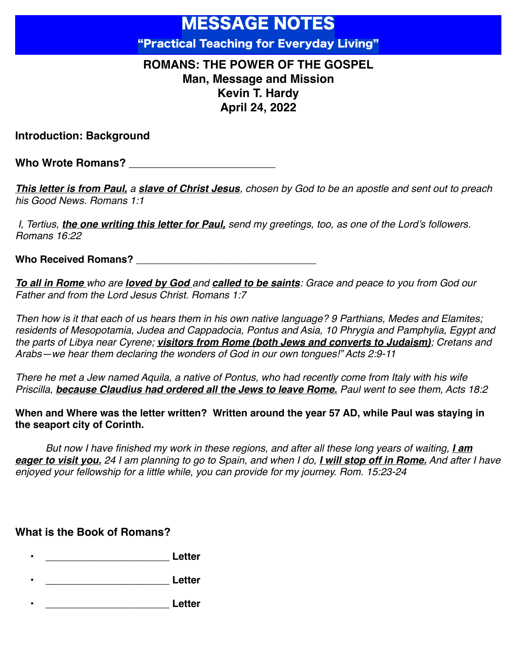# MESSAGE NOTES "Practical Teaching for Everyday Living"

## **ROMANS: THE POWER OF THE GOSPEL Man, Message and Mission Kevin T. Hardy April 24, 2022**

**Introduction: Background**

Who Wrote Romans?

*This letter is from Paul, a slave of Christ Jesus, chosen by God to be an apostle and sent out to preach his Good News. Romans 1:1*

 *I, Tertius, the one writing this letter for Paul, send my greetings, too, as one of the Lord's followers. Romans 16:22* 

Who Received Romans?

*To all in Rome who are loved by God and called to be saints: Grace and peace to you from God our Father and from the Lord Jesus Christ. Romans 1:7*

*Then how is it that each of us hears them in his own native language? 9 Parthians, Medes and Elamites; residents of Mesopotamia, Judea and Cappadocia, Pontus and Asia, 10 Phrygia and Pamphylia, Egypt and the parts of Libya near Cyrene; visitors from Rome (both Jews and converts to Judaism); Cretans and Arabs—we hear them declaring the wonders of God in our own tongues!" Acts 2:9-11*

*There he met a Jew named Aquila, a native of Pontus, who had recently come from Italy with his wife Priscilla, because Claudius had ordered all the Jews to leave Rome. Paul went to see them, Acts 18:2*

**When and Where was the letter written? Written around the year 57 AD, while Paul was staying in the seaport city of Corinth.**

*But now I have finished my work in these regions, and after all these long years of waiting, <i>I am eager to visit you. 24 I am planning to go to Spain, and when I do, I will stop off in Rome. And after I have enjoyed your fellowship for a little while, you can provide for my journey. Rom. 15:23-24*

### **What is the Book of Romans?**

- **• \_\_\_\_\_\_\_\_\_\_\_\_\_\_\_\_\_\_\_\_\_\_ Letter**
- **• \_\_\_\_\_\_\_\_\_\_\_\_\_\_\_\_\_\_\_\_\_\_ Letter**
- **• \_\_\_\_\_\_\_\_\_\_\_\_\_\_\_\_\_\_\_\_\_\_ Letter**